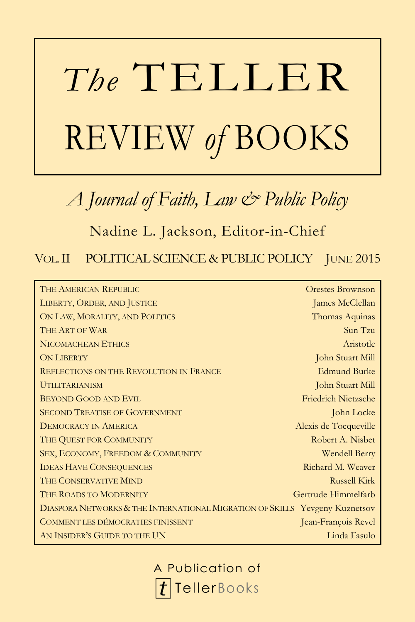# *The* TELLER REVIEW *of* BOOKS

*A Journal of Faith, Law & Public Policy*

Nadine L. Jackson, Editor-in-Chief

VOL.II POLITICAL SCIENCE & PUBLIC POLICY JUNE 2015

| THE AMERICAN REPUBLIC                                                       | Orestes Brownson           |
|-----------------------------------------------------------------------------|----------------------------|
| LIBERTY, ORDER, AND JUSTICE                                                 | James McClellan            |
| ON LAW, MORALITY, AND POLITICS                                              | Thomas Aquinas             |
| THE ART OF WAR                                                              | Sun Tzu                    |
| NICOMACHEAN ETHICS                                                          | Aristotle                  |
| <b>ON LIBERTY</b>                                                           | John Stuart Mill           |
| <b>REFLECTIONS ON THE REVOLUTION IN FRANCE</b>                              | <b>Edmund Burke</b>        |
| <b>UTILITARIANISM</b>                                                       | John Stuart Mill           |
| <b>BEYOND GOOD AND EVIL</b>                                                 | <b>Friedrich Nietzsche</b> |
| <b>SECOND TREATISE OF GOVERNMENT</b>                                        | John Locke                 |
| <b>DEMOCRACY IN AMERICA</b>                                                 | Alexis de Tocqueville      |
| THE QUEST FOR COMMUNITY                                                     | Robert A. Nisbet           |
| SEX, ECONOMY, FREEDOM & COMMUNITY                                           | Wendell Berry              |
| <b>IDEAS HAVE CONSEQUENCES</b>                                              | Richard M. Weaver          |
| THE CONSERVATIVE MIND                                                       | <b>Russell Kirk</b>        |
| THE ROADS TO MODERNITY                                                      | Gertrude Himmelfarb        |
| DIASPORA NETWORKS & THE INTERNATIONAL MIGRATION OF SKILLS Yevgeny Kuznetsov |                            |
| COMMENT LES DÉMOCRATIES FINISSENT                                           | Jean-François Revel        |
| AN INSIDER'S GUIDE TO THE UN                                                | Linda Fasulo               |

A Publication of**TellerBooks**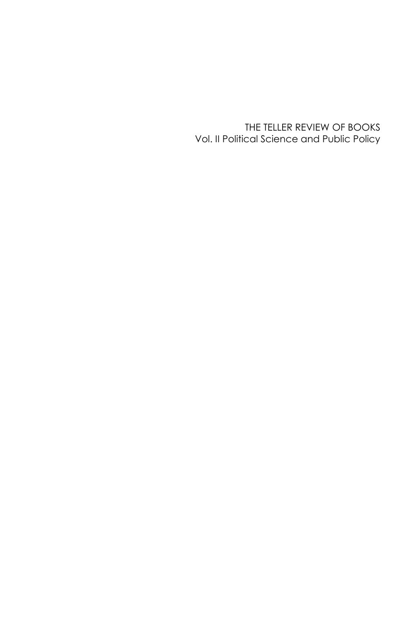THE TELLER REVIEW OF BOOKS Vol. II Political Science and Public Policy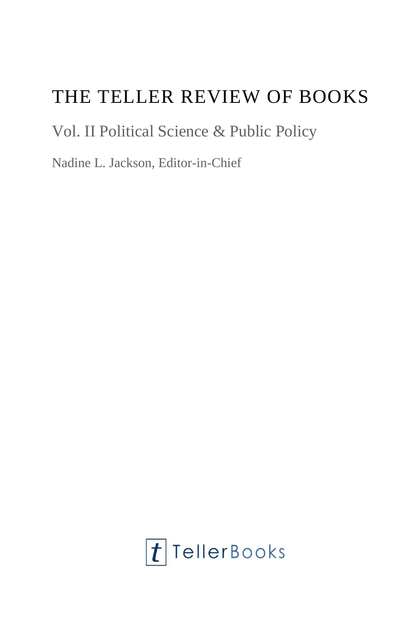## THE TELLER REVIEW OF BOOKS

### Vol. II Political Science & Public Policy

Nadine L. Jackson, Editor-in-Chief

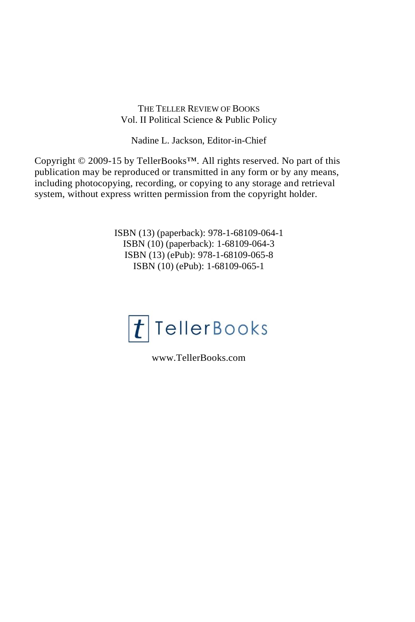#### THE TELLER REVIEW OF BOOKS Vol. II Political Science & Public Policy

Nadine L. Jackson, Editor-in-Chief

Copyright © 2009-15 by TellerBooks™. All rights reserved. No part of this publication may be reproduced or transmitted in any form or by any means, including photocopying, recording, or copying to any storage and retrieval system, without express written permission from the copyright holder.

> ISBN (13) (paperback): 978-1-68109-064-1 ISBN (10) (paperback): 1-68109-064-3 ISBN (13) (ePub): 978-1-68109-065-8 ISBN (10) (ePub): 1-68109-065-1



www.TellerBooks.com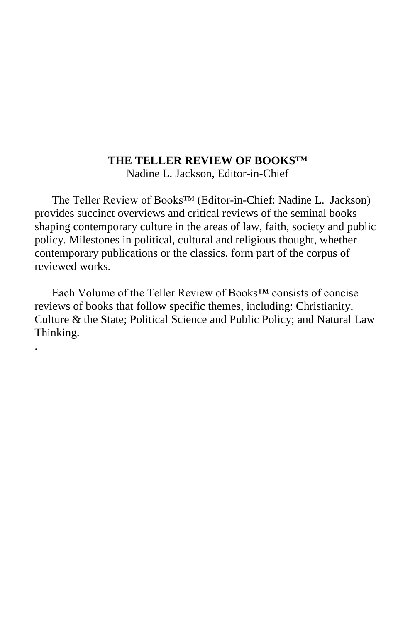#### **THE TELLER REVIEW OF BOOKS™**

Nadine L. Jackson, Editor-in-Chief

The Teller Review of Books™ (Editor-in-Chief: Nadine L. Jackson) provides succinct overviews and critical reviews of the seminal books shaping contemporary culture in the areas of law, faith, society and public policy. Milestones in political, cultural and religious thought, whether contemporary publications or the classics, form part of the corpus of reviewed works.

Each Volume of the Teller Review of Books™ consists of concise reviews of books that follow specific themes, including: Christianity, Culture & the State; Political Science and Public Policy; and Natural Law Thinking.

.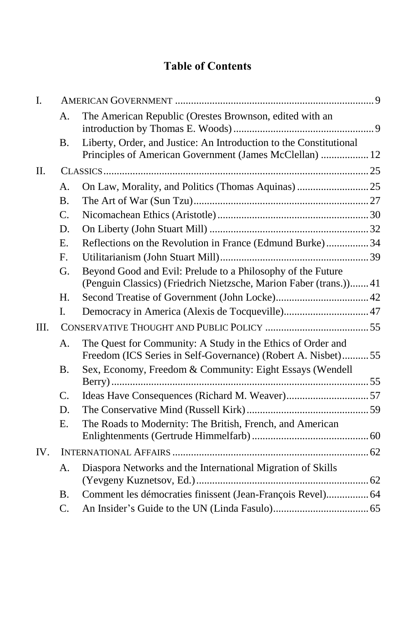#### **Table of Contents**

| Ι.  |           |                                                                                                                                   |  |
|-----|-----------|-----------------------------------------------------------------------------------------------------------------------------------|--|
|     | А.        | The American Republic (Orestes Brownson, edited with an                                                                           |  |
|     | <b>B.</b> | Liberty, Order, and Justice: An Introduction to the Constitutional<br>Principles of American Government (James McClellan)  12     |  |
| П.  |           |                                                                                                                                   |  |
|     | A.        |                                                                                                                                   |  |
|     | <b>B.</b> |                                                                                                                                   |  |
|     | C.        |                                                                                                                                   |  |
|     | D.        |                                                                                                                                   |  |
|     | E.        | Reflections on the Revolution in France (Edmund Burke) 34                                                                         |  |
|     | F.        |                                                                                                                                   |  |
|     | G.        | Beyond Good and Evil: Prelude to a Philosophy of the Future<br>(Penguin Classics) (Friedrich Nietzsche, Marion Faber (trans.)) 41 |  |
|     | Η.        |                                                                                                                                   |  |
|     | I.        |                                                                                                                                   |  |
| Ш.  |           |                                                                                                                                   |  |
|     | А.        | The Quest for Community: A Study in the Ethics of Order and<br>Freedom (ICS Series in Self-Governance) (Robert A. Nisbet)55       |  |
|     | Β.        | Sex, Economy, Freedom & Community: Eight Essays (Wendell                                                                          |  |
|     |           |                                                                                                                                   |  |
|     | C.        |                                                                                                                                   |  |
|     | D.        |                                                                                                                                   |  |
|     | E.        | The Roads to Modernity: The British, French, and American                                                                         |  |
| IV. |           |                                                                                                                                   |  |
|     | A.        | Diaspora Networks and the International Migration of Skills                                                                       |  |
|     | В.        | Comment les démocraties finissent (Jean-François Revel) 64                                                                        |  |
|     | C.        |                                                                                                                                   |  |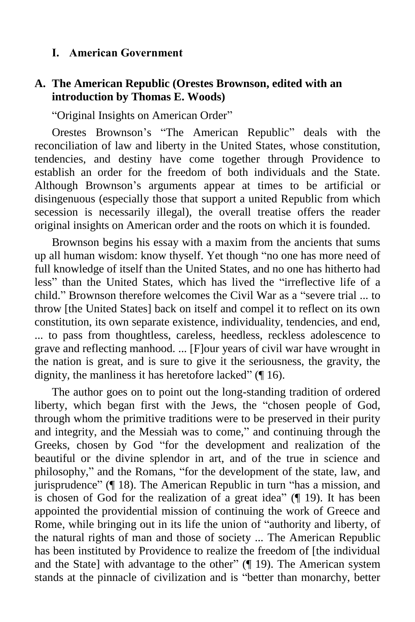#### <span id="page-9-0"></span>**I. American Government**

#### <span id="page-9-1"></span>**A. The American Republic (Orestes Brownson, edited with an introduction by Thomas E. Woods)**

"Original Insights on American Order"

Orestes Brownson's "The American Republic" deals with the reconciliation of law and liberty in the United States, whose constitution, tendencies, and destiny have come together through Providence to establish an order for the freedom of both individuals and the State. Although Brownson's arguments appear at times to be artificial or disingenuous (especially those that support a united Republic from which secession is necessarily illegal), the overall treatise offers the reader original insights on American order and the roots on which it is founded.

Brownson begins his essay with a maxim from the ancients that sums up all human wisdom: know thyself. Yet though "no one has more need of full knowledge of itself than the United States, and no one has hitherto had less" than the United States, which has lived the "irreflective life of a child." Brownson therefore welcomes the Civil War as a "severe trial ... to throw [the United States] back on itself and compel it to reflect on its own constitution, its own separate existence, individuality, tendencies, and end, ... to pass from thoughtless, careless, heedless, reckless adolescence to grave and reflecting manhood. ... [F]our years of civil war have wrought in the nation is great, and is sure to give it the seriousness, the gravity, the dignity, the manliness it has heretofore lacked" (¶ 16).

The author goes on to point out the long-standing tradition of ordered liberty, which began first with the Jews, the "chosen people of God, through whom the primitive traditions were to be preserved in their purity and integrity, and the Messiah was to come," and continuing through the Greeks, chosen by God "for the development and realization of the beautiful or the divine splendor in art, and of the true in science and philosophy," and the Romans, "for the development of the state, law, and jurisprudence" (¶ 18). The American Republic in turn "has a mission, and is chosen of God for the realization of a great idea" (¶ 19). It has been appointed the providential mission of continuing the work of Greece and Rome, while bringing out in its life the union of "authority and liberty, of the natural rights of man and those of society ... The American Republic has been instituted by Providence to realize the freedom of [the individual and the State] with advantage to the other" (¶ 19). The American system stands at the pinnacle of civilization and is "better than monarchy, better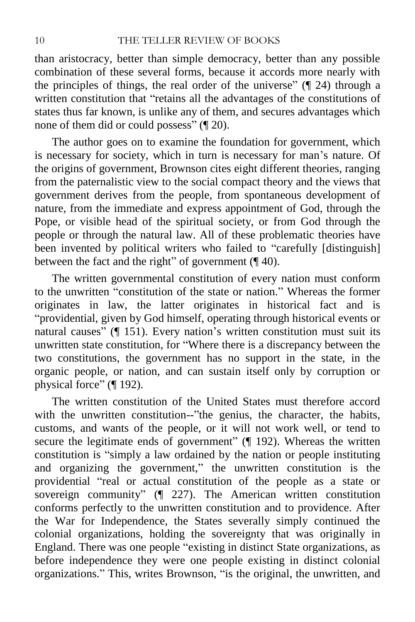than aristocracy, better than simple democracy, better than any possible combination of these several forms, because it accords more nearly with the principles of things, the real order of the universe" (¶ 24) through a written constitution that "retains all the advantages of the constitutions of states thus far known, is unlike any of them, and secures advantages which none of them did or could possess" (¶ 20).

The author goes on to examine the foundation for government, which is necessary for society, which in turn is necessary for man's nature. Of the origins of government, Brownson cites eight different theories, ranging from the paternalistic view to the social compact theory and the views that government derives from the people, from spontaneous development of nature, from the immediate and express appointment of God, through the Pope, or visible head of the spiritual society, or from God through the people or through the natural law. All of these problematic theories have been invented by political writers who failed to "carefully [distinguish] between the fact and the right" of government (¶ 40).

The written governmental constitution of every nation must conform to the unwritten "constitution of the state or nation." Whereas the former originates in law, the latter originates in historical fact and is "providential, given by God himself, operating through historical events or natural causes" (¶ 151). Every nation's written constitution must suit its unwritten state constitution, for "Where there is a discrepancy between the two constitutions, the government has no support in the state, in the organic people, or nation, and can sustain itself only by corruption or physical force" (¶ 192).

The written constitution of the United States must therefore accord with the unwritten constitution--"the genius, the character, the habits, customs, and wants of the people, or it will not work well, or tend to secure the legitimate ends of government" (¶ 192). Whereas the written constitution is "simply a law ordained by the nation or people instituting and organizing the government," the unwritten constitution is the providential "real or actual constitution of the people as a state or sovereign community" (¶ 227). The American written constitution conforms perfectly to the unwritten constitution and to providence. After the War for Independence, the States severally simply continued the colonial organizations, holding the sovereignty that was originally in England. There was one people "existing in distinct State organizations, as before independence they were one people existing in distinct colonial organizations." This, writes Brownson, "is the original, the unwritten, and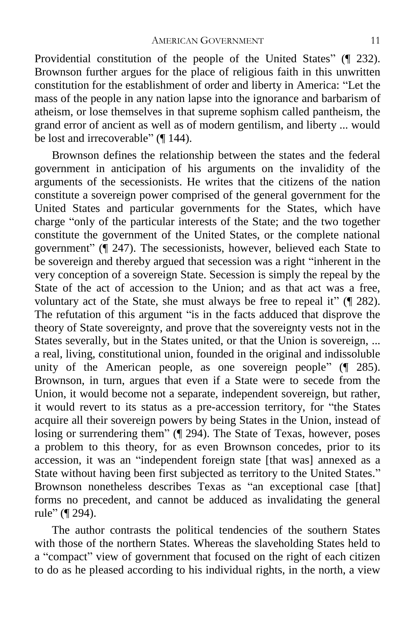Providential constitution of the people of the United States" (¶ 232). Brownson further argues for the place of religious faith in this unwritten constitution for the establishment of order and liberty in America: "Let the mass of the people in any nation lapse into the ignorance and barbarism of atheism, or lose themselves in that supreme sophism called pantheism, the grand error of ancient as well as of modern gentilism, and liberty ... would be lost and irrecoverable" (¶ 144).

Brownson defines the relationship between the states and the federal government in anticipation of his arguments on the invalidity of the arguments of the secessionists. He writes that the citizens of the nation constitute a sovereign power comprised of the general government for the United States and particular governments for the States, which have charge "only of the particular interests of the State; and the two together constitute the government of the United States, or the complete national government" (¶ 247). The secessionists, however, believed each State to be sovereign and thereby argued that secession was a right "inherent in the very conception of a sovereign State. Secession is simply the repeal by the State of the act of accession to the Union; and as that act was a free, voluntary act of the State, she must always be free to repeal it" (¶ 282). The refutation of this argument "is in the facts adduced that disprove the theory of State sovereignty, and prove that the sovereignty vests not in the States severally, but in the States united, or that the Union is sovereign, ... a real, living, constitutional union, founded in the original and indissoluble unity of the American people, as one sovereign people" (¶ 285). Brownson, in turn, argues that even if a State were to secede from the Union, it would become not a separate, independent sovereign, but rather, it would revert to its status as a pre-accession territory, for "the States acquire all their sovereign powers by being States in the Union, instead of losing or surrendering them" (¶ 294). The State of Texas, however, poses a problem to this theory, for as even Brownson concedes, prior to its accession, it was an "independent foreign state [that was] annexed as a State without having been first subjected as territory to the United States." Brownson nonetheless describes Texas as "an exceptional case [that] forms no precedent, and cannot be adduced as invalidating the general rule" (¶ 294).

The author contrasts the political tendencies of the southern States with those of the northern States. Whereas the slaveholding States held to a "compact" view of government that focused on the right of each citizen to do as he pleased according to his individual rights, in the north, a view